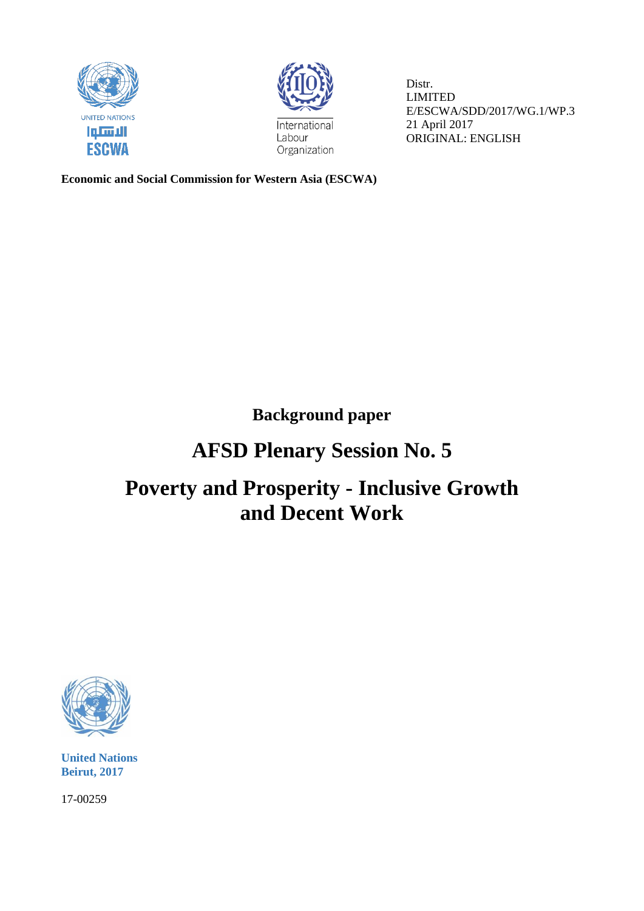



Distr. LIMITED E/ESCWA/SDD/2017/WG.1/WP.3 21 April 2017 ORIGINAL: ENGLISH

**Economic and Social Commission for Western Asia (ESCWA)**

**Background paper**

## **AFSD Plenary Session No. 5**

# **Poverty and Prosperity - Inclusive Growth and Decent Work**



**United Nations Beirut, 2017**

17-00259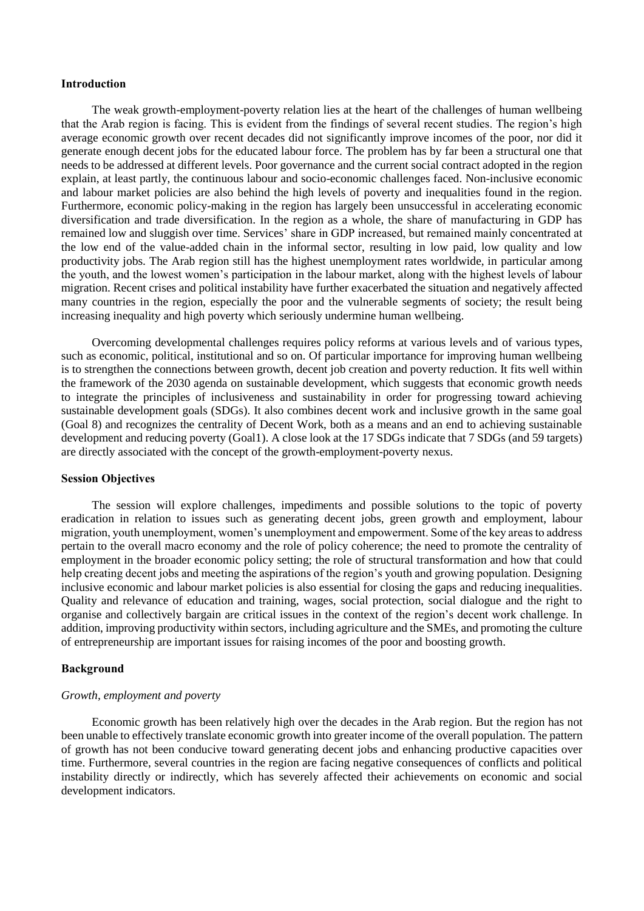#### **Introduction**

The weak growth-employment-poverty relation lies at the heart of the challenges of human wellbeing that the Arab region is facing. This is evident from the findings of several recent studies. The region's high average economic growth over recent decades did not significantly improve incomes of the poor, nor did it generate enough decent jobs for the educated labour force. The problem has by far been a structural one that needs to be addressed at different levels. Poor governance and the current social contract adopted in the region explain, at least partly, the continuous labour and socio-economic challenges faced. Non-inclusive economic and labour market policies are also behind the high levels of poverty and inequalities found in the region. Furthermore, economic policy-making in the region has largely been unsuccessful in accelerating economic diversification and trade diversification. In the region as a whole, the share of manufacturing in GDP has remained low and sluggish over time. Services' share in GDP increased, but remained mainly concentrated at the low end of the value-added chain in the informal sector, resulting in low paid, low quality and low productivity jobs. The Arab region still has the highest unemployment rates worldwide, in particular among the youth, and the lowest women's participation in the labour market, along with the highest levels of labour migration. Recent crises and political instability have further exacerbated the situation and negatively affected many countries in the region, especially the poor and the vulnerable segments of society; the result being increasing inequality and high poverty which seriously undermine human wellbeing.

Overcoming developmental challenges requires policy reforms at various levels and of various types, such as economic, political, institutional and so on. Of particular importance for improving human wellbeing is to strengthen the connections between growth, decent job creation and poverty reduction. It fits well within the framework of the 2030 agenda on sustainable development, which suggests that economic growth needs to integrate the principles of inclusiveness and sustainability in order for progressing toward achieving sustainable development goals (SDGs). It also combines decent work and inclusive growth in the same goal (Goal 8) and recognizes the centrality of Decent Work, both as a means and an end to achieving sustainable development and reducing poverty (Goal1). A close look at the 17 SDGs indicate that 7 SDGs (and 59 targets) are directly associated with the concept of the growth-employment-poverty nexus.

## **Session Objectives**

The session will explore challenges, impediments and possible solutions to the topic of poverty eradication in relation to issues such as generating decent jobs, green growth and employment, labour migration, youth unemployment, women's unemployment and empowerment. Some of the key areas to address pertain to the overall macro economy and the role of policy coherence; the need to promote the centrality of employment in the broader economic policy setting; the role of structural transformation and how that could help creating decent jobs and meeting the aspirations of the region's youth and growing population. Designing inclusive economic and labour market policies is also essential for closing the gaps and reducing inequalities. Quality and relevance of education and training, wages, social protection, social dialogue and the right to organise and collectively bargain are critical issues in the context of the region's decent work challenge. In addition, improving productivity within sectors, including agriculture and the SMEs, and promoting the culture of entrepreneurship are important issues for raising incomes of the poor and boosting growth.

## **Background**

#### *Growth, employment and poverty*

Economic growth has been relatively high over the decades in the Arab region. But the region has not been unable to effectively translate economic growth into greater income of the overall population. The pattern of growth has not been conducive toward generating decent jobs and enhancing productive capacities over time. Furthermore, several countries in the region are facing negative consequences of conflicts and political instability directly or indirectly, which has severely affected their achievements on economic and social development indicators.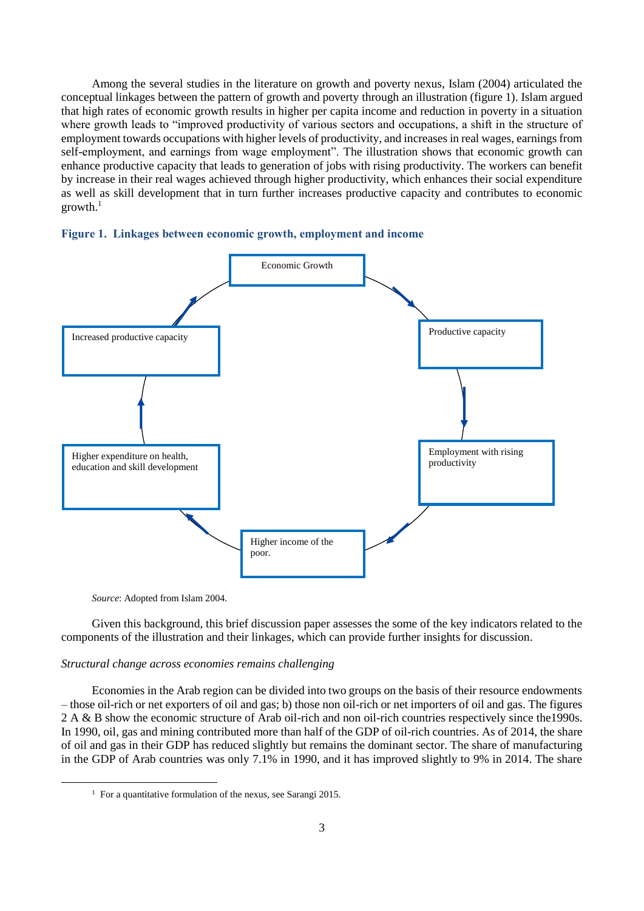Among the several studies in the literature on growth and poverty nexus, Islam (2004) articulated the conceptual linkages between the pattern of growth and poverty through an illustration (figure 1). Islam argued that high rates of economic growth results in higher per capita income and reduction in poverty in a situation where growth leads to "improved productivity of various sectors and occupations, a shift in the structure of employment towards occupations with higher levels of productivity, and increases in real wages, earnings from self-employment, and earnings from wage employment". The illustration shows that economic growth can enhance productive capacity that leads to generation of jobs with rising productivity. The workers can benefit by increase in their real wages achieved through higher productivity, which enhances their social expenditure as well as skill development that in turn further increases productive capacity and contributes to economic  $growth.<sup>1</sup>$ 





*Source*: Adopted from Islam 2004.

-

Given this background, this brief discussion paper assesses the some of the key indicators related to the components of the illustration and their linkages, which can provide further insights for discussion.

#### *Structural change across economies remains challenging*

Economies in the Arab region can be divided into two groups on the basis of their resource endowments – those oil-rich or net exporters of oil and gas; b) those non oil-rich or net importers of oil and gas. The figures 2 A & B show the economic structure of Arab oil-rich and non oil-rich countries respectively since the1990s. In 1990, oil, gas and mining contributed more than half of the GDP of oil-rich countries. As of 2014, the share of oil and gas in their GDP has reduced slightly but remains the dominant sector. The share of manufacturing in the GDP of Arab countries was only 7.1% in 1990, and it has improved slightly to 9% in 2014. The share

<sup>&</sup>lt;sup>1</sup> For a quantitative formulation of the nexus, see Sarangi 2015.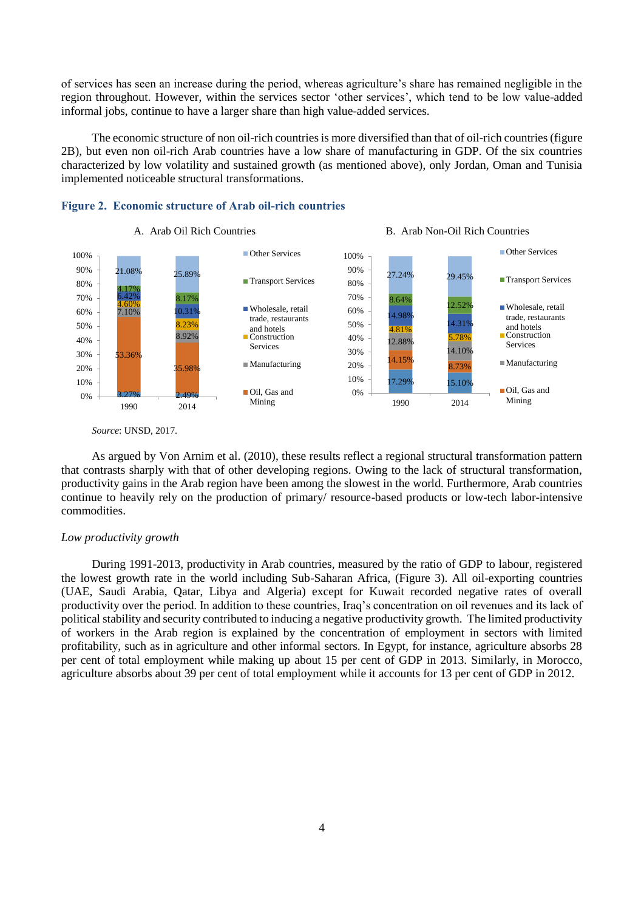of services has seen an increase during the period, whereas agriculture's share has remained negligible in the region throughout. However, within the services sector 'other services', which tend to be low value-added informal jobs, continue to have a larger share than high value-added services.

The economic structure of non oil-rich countries is more diversified than that of oil-rich countries (figure 2B), but even non oil-rich Arab countries have a low share of manufacturing in GDP. Of the six countries characterized by low volatility and sustained growth (as mentioned above), only Jordan, Oman and Tunisia implemented noticeable structural transformations.





*Source*: UNSD, 2017.

As argued by Von Arnim et al. (2010), these results reflect a regional structural transformation pattern that contrasts sharply with that of other developing regions. Owing to the lack of structural transformation, productivity gains in the Arab region have been among the slowest in the world. Furthermore, Arab countries continue to heavily rely on the production of primary/ resource-based products or low-tech labor-intensive commodities.

#### *Low productivity growth*

During 1991-2013, productivity in Arab countries, measured by the ratio of GDP to labour, registered the lowest growth rate in the world including Sub-Saharan Africa, (Figure 3). All oil-exporting countries (UAE, Saudi Arabia, Qatar, Libya and Algeria) except for Kuwait recorded negative rates of overall productivity over the period. In addition to these countries, Iraq's concentration on oil revenues and its lack of political stability and security contributed to inducing a negative productivity growth. The limited productivity of workers in the Arab region is explained by the concentration of employment in sectors with limited profitability, such as in agriculture and other informal sectors. In Egypt, for instance, agriculture absorbs 28 per cent of total employment while making up about 15 per cent of GDP in 2013. Similarly, in Morocco, agriculture absorbs about 39 per cent of total employment while it accounts for 13 per cent of GDP in 2012.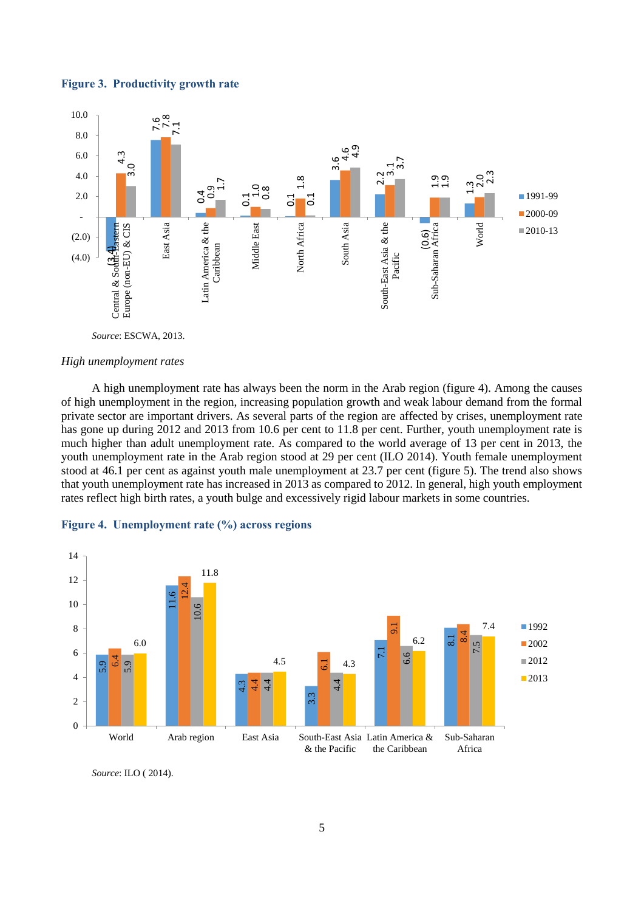



#### *High unemployment rates*

A high unemployment rate has always been the norm in the Arab region (figure 4). Among the causes of high unemployment in the region, increasing population growth and weak labour demand from the formal private sector are important drivers. As several parts of the region are affected by crises, unemployment rate has gone up during 2012 and 2013 from 10.6 per cent to 11.8 per cent. Further, youth unemployment rate is much higher than adult unemployment rate. As compared to the world average of 13 per cent in 2013, the youth unemployment rate in the Arab region stood at 29 per cent (ILO 2014). Youth female unemployment stood at 46.1 per cent as against youth male unemployment at 23.7 per cent (figure 5). The trend also shows that youth unemployment rate has increased in 2013 as compared to 2012. In general, high youth employment rates reflect high birth rates, a youth bulge and excessively rigid labour markets in some countries.

#### **Figure 4. Unemployment rate (%) across regions**



Source: ILO (2014).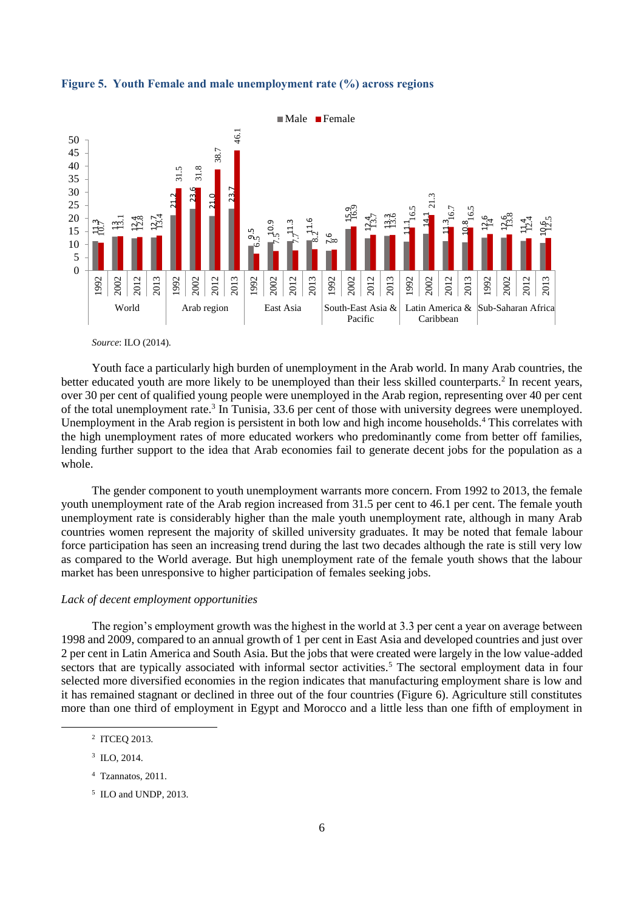



Youth face a particularly high burden of unemployment in the Arab world. In many Arab countries, the better educated youth are more likely to be unemployed than their less skilled counterparts.<sup>2</sup> In recent years, over 30 per cent of qualified young people were unemployed in the Arab region, representing over 40 per cent of the total unemployment rate.<sup>3</sup> In Tunisia, 33.6 per cent of those with university degrees were unemployed. Unemployment in the Arab region is persistent in both low and high income households.<sup>4</sup> This correlates with the high unemployment rates of more educated workers who predominantly come from better off families, lending further support to the idea that Arab economies fail to generate decent jobs for the population as a whole.

The gender component to youth unemployment warrants more concern. From 1992 to 2013, the female youth unemployment rate of the Arab region increased from 31.5 per cent to 46.1 per cent. The female youth unemployment rate is considerably higher than the male youth unemployment rate, although in many Arab countries women represent the majority of skilled university graduates. It may be noted that female labour force participation has seen an increasing trend during the last two decades although the rate is still very low as compared to the World average. But high unemployment rate of the female youth shows that the labour market has been unresponsive to higher participation of females seeking jobs.

### *Lack of decent employment opportunities*

The region's employment growth was the highest in the world at 3.3 per cent a year on average between 1998 and 2009, compared to an annual growth of 1 per cent in East Asia and developed countries and just over 2 per cent in Latin America and South Asia. But the jobs that were created were largely in the low value-added sectors that are typically associated with informal sector activities.<sup>5</sup> The sectoral employment data in four selected more diversified economies in the region indicates that manufacturing employment share is low and it has remained stagnant or declined in three out of the four countries (Figure 6). Agriculture still constitutes more than one third of employment in Egypt and Morocco and a little less than one fifth of employment in

-

*Source*: ILO (2014).

<sup>2</sup> ITCEQ 2013.

<sup>&</sup>lt;sup>3</sup> ILO, 2014.

<sup>4</sup> Tzannatos, 2011.

<sup>5</sup> ILO and UNDP, 2013.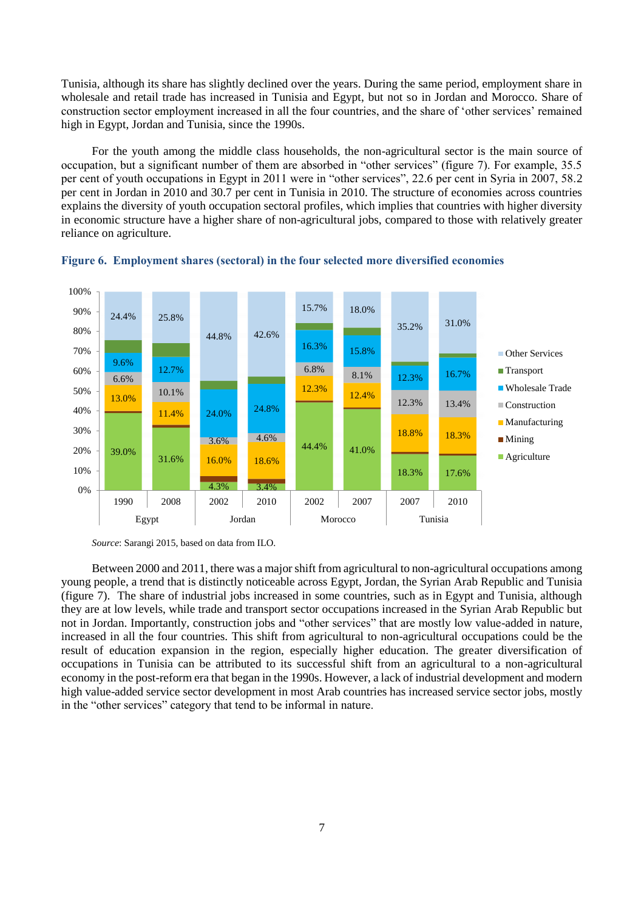Tunisia, although its share has slightly declined over the years. During the same period, employment share in wholesale and retail trade has increased in Tunisia and Egypt, but not so in Jordan and Morocco. Share of construction sector employment increased in all the four countries, and the share of 'other services' remained high in Egypt, Jordan and Tunisia, since the 1990s.

For the youth among the middle class households, the non-agricultural sector is the main source of occupation, but a significant number of them are absorbed in "other services" (figure 7). For example, 35.5 per cent of youth occupations in Egypt in 2011 were in "other services", 22.6 per cent in Syria in 2007, 58.2 per cent in Jordan in 2010 and 30.7 per cent in Tunisia in 2010. The structure of economies across countries explains the diversity of youth occupation sectoral profiles, which implies that countries with higher diversity in economic structure have a higher share of non-agricultural jobs, compared to those with relatively greater reliance on agriculture.





*Source*: Sarangi 2015, based on data from ILO.

Between 2000 and 2011, there was a major shift from agricultural to non-agricultural occupations among young people, a trend that is distinctly noticeable across Egypt, Jordan, the Syrian Arab Republic and Tunisia (figure 7). The share of industrial jobs increased in some countries, such as in Egypt and Tunisia, although they are at low levels, while trade and transport sector occupations increased in the Syrian Arab Republic but not in Jordan. Importantly, construction jobs and "other services" that are mostly low value-added in nature, increased in all the four countries. This shift from agricultural to non-agricultural occupations could be the result of education expansion in the region, especially higher education. The greater diversification of occupations in Tunisia can be attributed to its successful shift from an agricultural to a non-agricultural economy in the post-reform era that began in the 1990s. However, a lack of industrial development and modern high value-added service sector development in most Arab countries has increased service sector jobs, mostly in the "other services" category that tend to be informal in nature.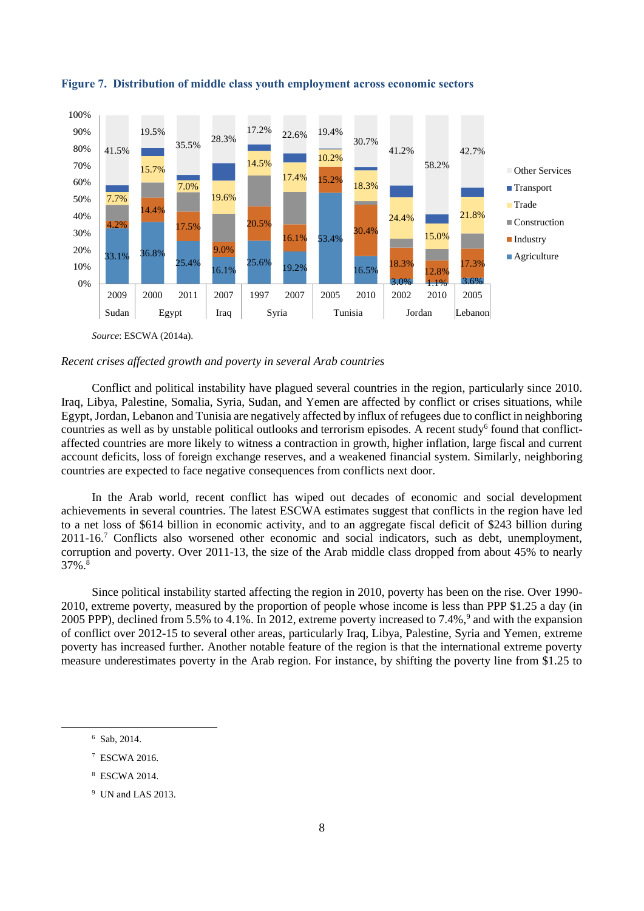

**Figure 7. Distribution of middle class youth employment across economic sectors**

### *Recent crises affected growth and poverty in several Arab countries*

Conflict and political instability have plagued several countries in the region, particularly since 2010. Iraq, Libya, Palestine, Somalia, Syria, Sudan, and Yemen are affected by conflict or crises situations, while Egypt, Jordan, Lebanon and Tunisia are negatively affected by influx of refugees due to conflict in neighboring countries as well as by unstable political outlooks and terrorism episodes. A recent study<sup>6</sup> found that conflictaffected countries are more likely to witness a contraction in growth, higher inflation, large fiscal and current account deficits, loss of foreign exchange reserves, and a weakened financial system. Similarly, neighboring countries are expected to face negative consequences from conflicts next door.

In the Arab world, recent conflict has wiped out decades of economic and social development achievements in several countries. The latest ESCWA estimates suggest that conflicts in the region have led to a net loss of \$614 billion in economic activity, and to an aggregate fiscal deficit of \$243 billion during 2011-16.<sup>7</sup> Conflicts also worsened other economic and social indicators, such as debt, unemployment, corruption and poverty. Over 2011-13, the size of the Arab middle class dropped from about 45% to nearly  $37\%$ .<sup>8</sup>

Since political instability started affecting the region in 2010, poverty has been on the rise. Over 1990- 2010, extreme poverty, measured by the proportion of people whose income is less than PPP \$1.25 a day (in 2005 PPP), declined from 5.5% to 4.1%. In 2012, extreme poverty increased to 7.4%,<sup>9</sup> and with the expansion of conflict over 2012-15 to several other areas, particularly Iraq, Libya, Palestine, Syria and Yemen, extreme poverty has increased further. Another notable feature of the region is that the international extreme poverty measure underestimates poverty in the Arab region. For instance, by shifting the poverty line from \$1.25 to

-

<sup>8</sup> ESCWA 2014.

<sup>6</sup> Sab, 2014.

<sup>7</sup> ESCWA 2016.

<sup>9</sup> UN and LAS 2013.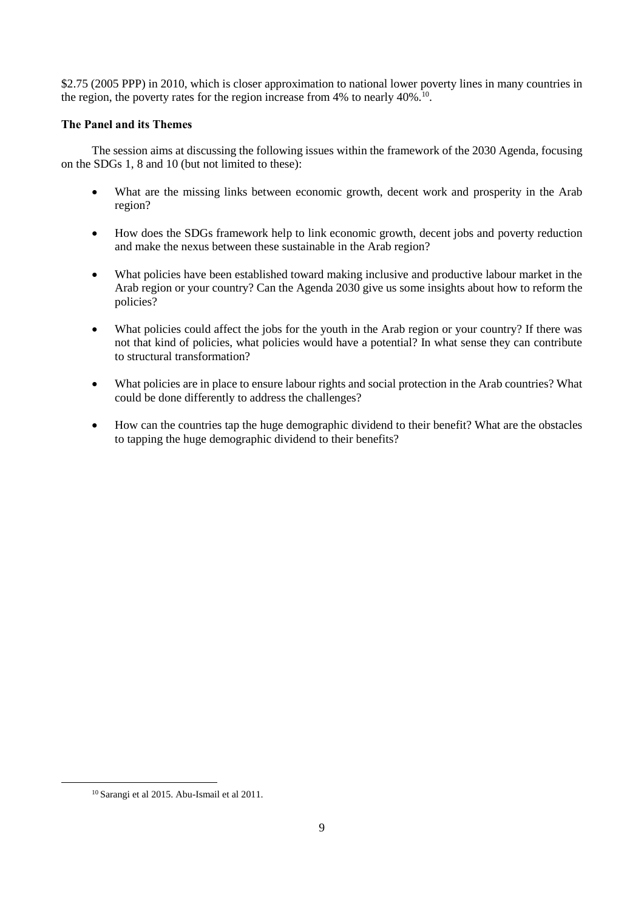\$2.75 (2005 PPP) in 2010, which is closer approximation to national lower poverty lines in many countries in the region, the poverty rates for the region increase from 4% to nearly 40%.<sup>10</sup>.

## **The Panel and its Themes**

The session aims at discussing the following issues within the framework of the 2030 Agenda, focusing on the SDGs 1, 8 and 10 (but not limited to these):

- What are the missing links between economic growth, decent work and prosperity in the Arab region?
- How does the SDGs framework help to link economic growth, decent jobs and poverty reduction and make the nexus between these sustainable in the Arab region?
- What policies have been established toward making inclusive and productive labour market in the Arab region or your country? Can the Agenda 2030 give us some insights about how to reform the policies?
- What policies could affect the jobs for the youth in the Arab region or your country? If there was not that kind of policies, what policies would have a potential? In what sense they can contribute to structural transformation?
- What policies are in place to ensure labour rights and social protection in the Arab countries? What could be done differently to address the challenges?
- How can the countries tap the huge demographic dividend to their benefit? What are the obstacles to tapping the huge demographic dividend to their benefits?

-

<sup>10</sup> Sarangi et al 2015. Abu-Ismail et al 2011.